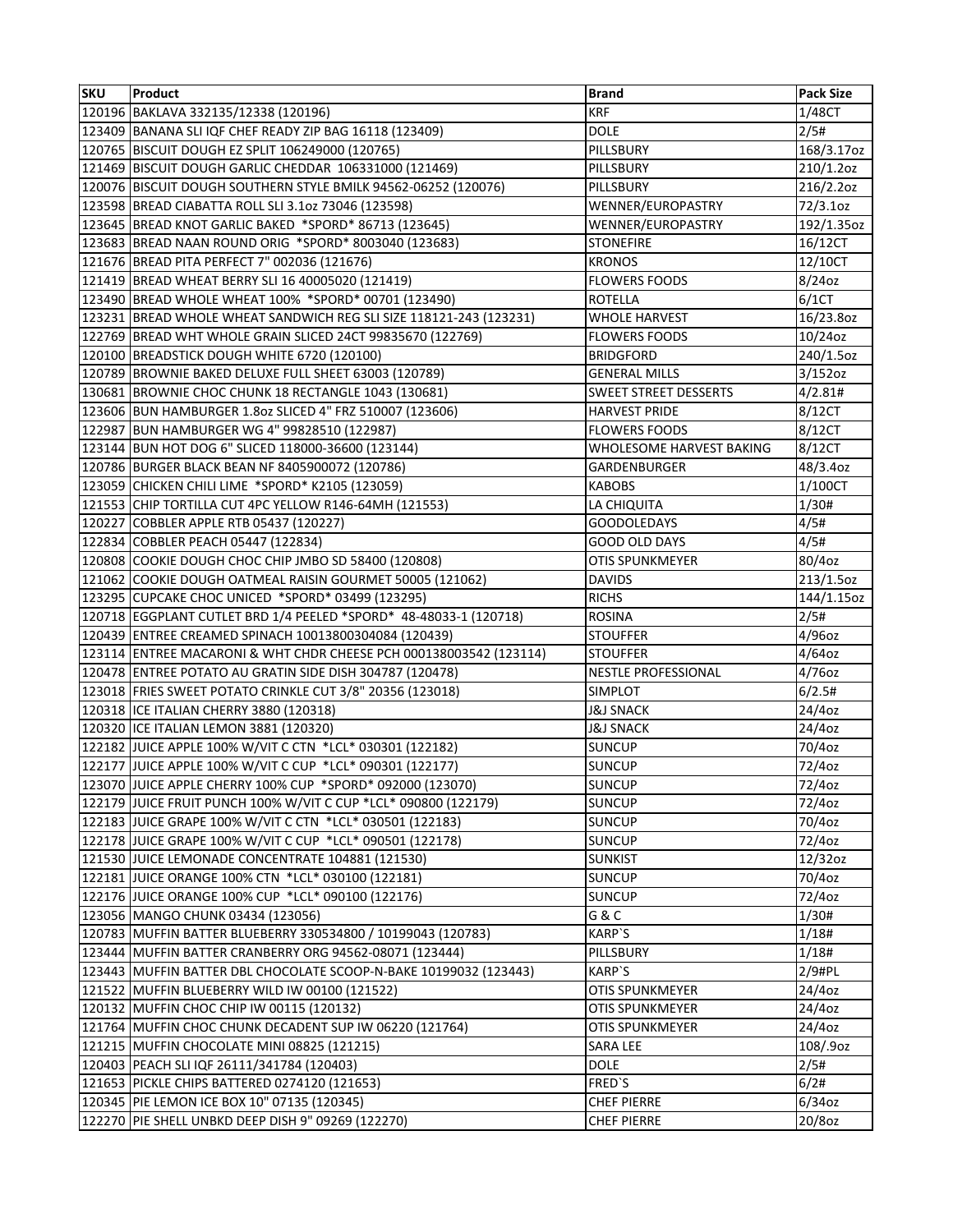| <b>SKU</b> | <b>Product</b>                                                     | <b>Brand</b>                 | <b>Pack Size</b> |
|------------|--------------------------------------------------------------------|------------------------------|------------------|
|            | 120196 BAKLAVA 332135/12338 (120196)                               | <b>KRF</b>                   | 1/48CT           |
|            | 123409 BANANA SLI IQF CHEF READY ZIP BAG 16118 (123409)            | <b>DOLE</b>                  | 2/5#             |
|            | 120765 BISCUIT DOUGH EZ SPLIT 106249000 (120765)                   | PILLSBURY                    | 168/3.17oz       |
|            | 121469 BISCUIT DOUGH GARLIC CHEDDAR 106331000 (121469)             | PILLSBURY                    | 210/1.2oz        |
|            | 120076 BISCUIT DOUGH SOUTHERN STYLE BMILK 94562-06252 (120076)     | PILLSBURY                    | 216/2.2oz        |
|            | 123598 BREAD CIABATTA ROLL SLI 3.1oz 73046 (123598)                | WENNER/EUROPASTRY            | 72/3.1oz         |
|            | 123645 BREAD KNOT GARLIC BAKED *SPORD* 86713 (123645)              | WENNER/EUROPASTRY            | 192/1.35oz       |
|            | 123683 BREAD NAAN ROUND ORIG *SPORD* 8003040 (123683)              | <b>STONEFIRE</b>             | 16/12CT          |
|            | 121676 BREAD PITA PERFECT 7" 002036 (121676)                       | <b>KRONOS</b>                | 12/10CT          |
|            | 121419 BREAD WHEAT BERRY SLI 16 40005020 (121419)                  | <b>FLOWERS FOODS</b>         | 8/24oz           |
|            | 123490 BREAD WHOLE WHEAT 100% *SPORD* 00701 (123490)               | <b>ROTELLA</b>               | 6/1CT            |
|            | 123231 BREAD WHOLE WHEAT SANDWICH REG SLI SIZE 118121-243 (123231) | <b>WHOLE HARVEST</b>         | 16/23.8oz        |
|            | 122769 BREAD WHT WHOLE GRAIN SLICED 24CT 99835670 (122769)         | <b>FLOWERS FOODS</b>         | 10/24oz          |
|            | 120100 BREADSTICK DOUGH WHITE 6720 (120100)                        | <b>BRIDGFORD</b>             | 240/1.5oz        |
|            | 120789 BROWNIE BAKED DELUXE FULL SHEET 63003 (120789)              | <b>GENERAL MILLS</b>         | 3/152oz          |
|            | 130681 BROWNIE CHOC CHUNK 18 RECTANGLE 1043 (130681)               | <b>SWEET STREET DESSERTS</b> | 4/2.81#          |
|            | 123606 BUN HAMBURGER 1.8oz SLICED 4" FRZ 510007 (123606)           | <b>HARVEST PRIDE</b>         | 8/12CT           |
|            | 122987 BUN HAMBURGER WG 4" 99828510 (122987)                       | <b>FLOWERS FOODS</b>         | 8/12CT           |
|            | 123144 BUN HOT DOG 6" SLICED 118000-36600 (123144)                 | WHOLESOME HARVEST BAKING     | 8/12CT           |
|            | 120786 BURGER BLACK BEAN NF 8405900072 (120786)                    | <b>GARDENBURGER</b>          | 48/3.4oz         |
|            | 123059 CHICKEN CHILI LIME *SPORD* K2105 (123059)                   | <b>KABOBS</b>                | 1/100CT          |
|            | 121553 CHIP TORTILLA CUT 4PC YELLOW R146-64MH (121553)             | LA CHIQUITA                  | 1/30#            |
|            | 120227 COBBLER APPLE RTB 05437 (120227)                            | <b>GOODOLEDAYS</b>           | 4/5#             |
|            | 122834 COBBLER PEACH 05447 (122834)                                | GOOD OLD DAYS                | 4/5#             |
|            | 120808 COOKIE DOUGH CHOC CHIP JMBO SD 58400 (120808)               | OTIS SPUNKMEYER              | 80/4oz           |
|            | 121062 COOKIE DOUGH OATMEAL RAISIN GOURMET 50005 (121062)          | <b>DAVIDS</b>                | 213/1.5oz        |
|            | 123295 CUPCAKE CHOC UNICED *SPORD* 03499 (123295)                  | <b>RICHS</b>                 | 144/1.15oz       |
|            | 120718 EGGPLANT CUTLET BRD 1/4 PEELED *SPORD* 48-48033-1 (120718)  | <b>ROSINA</b>                | 2/5#             |
|            | 120439 ENTREE CREAMED SPINACH 10013800304084 (120439)              | <b>STOUFFER</b>              | 4/96oz           |
|            | 123114 ENTREE MACARONI & WHT CHDR CHEESE PCH 000138003542 (123114) | STOUFFER                     | 4/64oz           |
|            | 120478 ENTREE POTATO AU GRATIN SIDE DISH 304787 (120478)           | <b>NESTLE PROFESSIONAL</b>   | 4/76oz           |
|            | 123018 FRIES SWEET POTATO CRINKLE CUT 3/8" 20356 (123018)          | <b>SIMPLOT</b>               | 6/2.5#           |
|            | 120318 ICE ITALIAN CHERRY 3880 (120318)                            | <b>J&amp;J SNACK</b>         | 24/4oz           |
|            | 120320 ICE ITALIAN LEMON 3881 (120320)                             | <b>J&amp;J SNACK</b>         | 24/4oz           |
|            | 122182 JUICE APPLE 100% W/VIT C CTN *LCL* 030301 (122182)          | <b>SUNCUP</b>                | 70/4oz           |
|            | 122177 JUICE APPLE 100% W/VIT C CUP *LCL* 090301 (122177)          | <b>SUNCUP</b>                | 72/4oz           |
|            | 123070 JUICE APPLE CHERRY 100% CUP *SPORD* 092000 (123070)         | <b>SUNCUP</b>                | 72/4oz           |
|            | 122179 JUICE FRUIT PUNCH 100% W/VIT C CUP *LCL* 090800 (122179)    | <b>SUNCUP</b>                | 72/4oz           |
|            | 122183 JUICE GRAPE 100% W/VIT C CTN *LCL* 030501 (122183)          | <b>SUNCUP</b>                | 70/4oz           |
|            | 122178 JUICE GRAPE 100% W/VIT C CUP *LCL* 090501 (122178)          | <b>SUNCUP</b>                | 72/4oz           |
|            | 121530 JUICE LEMONADE CONCENTRATE 104881 (121530)                  | <b>SUNKIST</b>               | 12/32oz          |
|            | 122181 JUICE ORANGE 100% CTN *LCL* 030100 (122181)                 | <b>SUNCUP</b>                | 70/4oz           |
|            | 122176 JUICE ORANGE 100% CUP *LCL* 090100 (122176)                 | <b>SUNCUP</b>                | 72/4oz           |
|            | 123056 MANGO CHUNK 03434 (123056)                                  | G & C                        | 1/30#            |
|            | 120783 MUFFIN BATTER BLUEBERRY 330534800 / 10199043 (120783)       | KARP`S                       | 1/18#            |
|            | 123444 MUFFIN BATTER CRANBERRY ORG 94562-08071 (123444)            | PILLSBURY                    | 1/18#            |
|            | 123443 MUFFIN BATTER DBL CHOCOLATE SCOOP-N-BAKE 10199032 (123443)  | KARP`S                       | $2/9$ #PL        |
|            | 121522 MUFFIN BLUEBERRY WILD IW 00100 (121522)                     | OTIS SPUNKMEYER              | 24/4oz           |
|            | 120132 MUFFIN CHOC CHIP IW 00115 (120132)                          | OTIS SPUNKMEYER              | 24/4oz           |
|            | 121764 MUFFIN CHOC CHUNK DECADENT SUP IW 06220 (121764)            | OTIS SPUNKMEYER              | 24/4oz           |
|            | 121215 MUFFIN CHOCOLATE MINI 08825 (121215)                        | SARA LEE                     | 108/.9oz         |
|            | 120403 PEACH SLI IQF 26111/341784 (120403)                         | DOLE                         | 2/5#             |
|            | 121653 PICKLE CHIPS BATTERED 0274120 (121653)                      | FRED'S                       | 6/2#             |
|            | 120345 PIE LEMON ICE BOX 10" 07135 (120345)                        | <b>CHEF PIERRE</b>           | 6/34oz           |
|            | 122270 PIE SHELL UNBKD DEEP DISH 9" 09269 (122270)                 | <b>CHEF PIERRE</b>           | 20/8oz           |
|            |                                                                    |                              |                  |